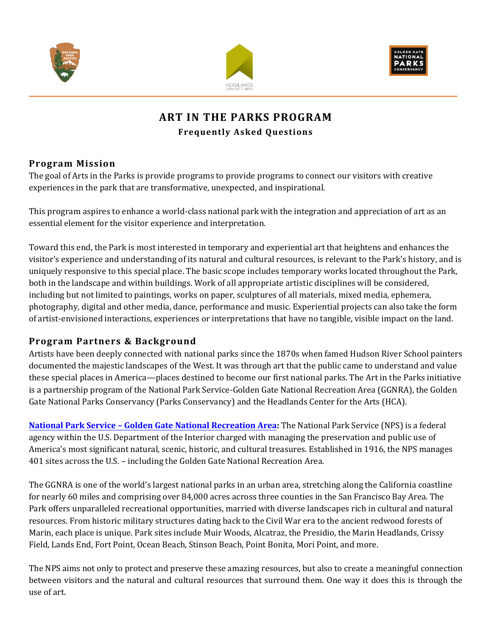





# **ART IN THE PARKS PROGRAM Frequently Asked Questions**

## **Program Mission**

The goal of Arts in the Parks is provide programs to provide programs to connect our visitors with creative experiences in the park that are transformative, unexpected, and inspirational.

This program aspires to enhance a world-class national park with the integration and appreciation of art as an essential element for the visitor experience and interpretation.

Toward this end, the Park is most interested in temporary and experiential art that heightens and enhances the visitor's experience and understanding of its natural and cultural resources, is relevant to the Park's history, and is uniquely responsive to this special place. The basic scope includes temporary works located throughout the Park, both in the landscape and within buildings. Work of all appropriate artistic disciplines will be considered, including but not limited to paintings, works on paper, sculptures of all materials, mixed media, ephemera, photography, digital and other media, dance, performance and music. Experiential projects can also take the form of artist-envisioned interactions, experiences or interpretations that have no tangible, visible impact on the land.

## **Program Partners & Background**

Artists have been deeply connected with national parks since the 1870s when famed Hudson River School painters documented the majestic landscapes of the West. It was through art that the public came to understand and value these special places in America—places destined to become our first national parks. The Art in the Parks initiative is a partnership program of the National Park Service-Golden Gate National Recreation Area (GGNRA), the Golden Gate National Parks Conservancy (Parks Conservancy) and the Headlands Center for the Arts (HCA).

**National Park Service – Golden [Gate National Recreation Area:](http://www.nps.gov/goga/index.htm)** The National Park Service (NPS) is a federal agency within the U.S. Department of the Interior charged with managing the preservation and public use of America's most significant natural, scenic, historic, and cultural treasures. Established in 1916, the NPS manages 401 sites across the U.S. – including the Golden Gate National Recreation Area.

The GGNRA is one of the world's largest national parks in an urban area, stretching along the California coastline for nearly 60 miles and comprising over 84,000 acres across three counties in the San Francisco Bay Area. The Park offers unparalleled recreational opportunities, married with diverse landscapes rich in cultural and natural resources. From historic military structures dating back to the Civil War era to the ancient redwood forests of Marin, each place is unique. Park sites include Muir Woods, Alcatraz, the Presidio, the Marin Headlands, Crissy Field, Lands End, Fort Point, Ocean Beach, Stinson Beach, Point Bonita, Mori Point, and more.

The NPS aims not only to protect and preserve these amazing resources, but also to create a meaningful connection between visitors and the natural and cultural resources that surround them. One way it does this is through the use of art.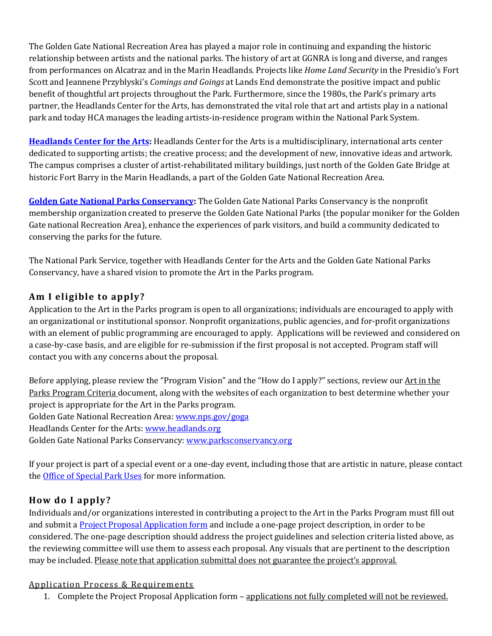The Golden Gate National Recreation Area has played a major role in continuing and expanding the historic relationship between artists and the national parks. The history of art at GGNRA is long and diverse, and ranges from performances on Alcatraz and in the Marin Headlands. Projects like *Home Land Security* in the Presidio's Fort Scott and Jeannene Przyblyski's *Comings and Goings* at Lands End demonstrate the positive impact and public benefit of thoughtful art projects throughout the Park. Furthermore, since the 1980s, the Park's primary arts partner, the Headlands Center for the Arts, has demonstrated the vital role that art and artists play in a national park and today HCA manages the leading artists-in-residence program within the National Park System.

**[Headlands Center for the Arts:](http://www.headlands.org/)** Headlands Center for the Arts is a multidisciplinary, international arts center dedicated to supporting artists; the creative process; and the development of new, innovative ideas and artwork. The campus comprises a cluster of artist-rehabilitated military buildings, just north of the Golden Gate Bridge at historic Fort Barry in the Marin Headlands, a part of the Golden Gate National Recreation Area.

**[Golden Gate National Parks Conservancy:](http://www.parksconservancy.org/)** The Golden Gate National Parks Conservancy is the nonprofit membership organization created to preserve the Golden Gate National Parks (the popular moniker for the Golden Gate national Recreation Area), enhance the experiences of park visitors, and build a community dedicated to conserving the parks for the future.

The National Park Service, together with Headlands Center for the Arts and the Golden Gate National Parks Conservancy, have a shared vision to promote the Art in the Parks program.

# **Am I eligible to apply?**

Application to the Art in the Parks program is open to all organizations; individuals are encouraged to apply with an organizational or institutional sponsor. Nonprofit organizations, public agencies, and for-profit organizations with an element of public programming are encouraged to apply. Applications will be reviewed and considered on a case-by-case basis, and are eligible for re-submission if the first proposal is not accepted. Program staff will contact you with any concerns about the proposal.

Before applying, please review the "Program Vision" and the "How do I apply?" sections, review our Art in the Parks Program Criteria document, along with the websites of each organization to best determine whether your project is appropriate for the Art in the Parks program. Golden Gate National Recreation Area[: www.nps.gov/goga](http://www.nps.gov/goga/index.htm) Headlands Center for the Arts: [www.headlands.org](http://www.headlands.org/) Golden Gate National Parks Conservancy: [www.parksconservancy.org](http://www.parksconservancy.org/)

If your project is part of a special event or a one-day event, including those that are artistic in nature, please contact the [Office of Special Park Uses](http://www.nps.gov/goga/planyourvisit/specialparkuses.htm) for more information.

## **How do I apply?**

Individuals and/or organizations interested in contributing a project to the Art in the Parks Program must fill out and submit a **[Project Proposal Application](http://www.parksconservancy.org/visit/art/apply/) form** and include a one-page project description, in order to be considered. The one-page description should address the project guidelines and selection criteria listed above, as the reviewing committee will use them to assess each proposal. Any visuals that are pertinent to the description may be included. Please note that application submittal does not guarantee the project's approval.

#### Application Process & Requirements

1. Complete the Project Proposal Application form - applications not fully completed will not be reviewed.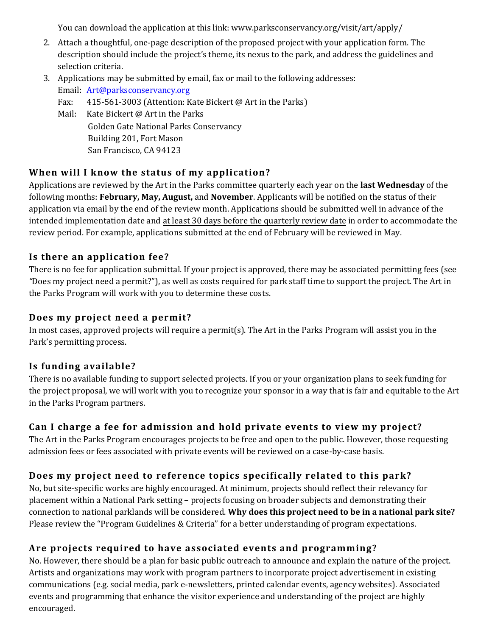You can download the application at this link: www.parksconservancy.org/visit/art/apply/

- 2. Attach a thoughtful, one-page description of the proposed project with your application form. The description should include the project's theme, its nexus to the park, and address the guidelines and selection criteria.
- 3. Applications may be submitted by email, fax or mail to the following addresses:
	- Email: [Art@parksconservancy.org](mailto:Art@parksconservancy.org) Fax: 415-561-3003 (Attention: Kate Bickert @ Art in the Parks) Mail: Kate Bickert @ Art in the Parks
		- Golden Gate National Parks Conservancy Building 201, Fort Mason San Francisco, CA 94123

## **When will I know the status of my application?**

Applications are reviewed by the Art in the Parks committee quarterly each year on the **last Wednesday** of the following months: **February, May, August,** and **November**. Applicants will be notified on the status of their application via email by the end of the review month. Applications should be submitted well in advance of the intended implementation date and at least 30 days before the quarterly review date in order to accommodate the review period. For example, applications submitted at the end of February will be reviewed in May.

## **Is there an application fee?**

There is no fee for application submittal. If your project is approved, there may be associated permitting fees (see *"*Does my project need a permit?"), as well as costs required for park staff time to support the project. The Art in the Parks Program will work with you to determine these costs.

## **Does my project need a permit?**

In most cases, approved projects will require a permit(s). The Art in the Parks Program will assist you in the Park's permitting process.

## **Is funding available?**

There is no available funding to support selected projects. If you or your organization plans to seek funding for the project proposal, we will work with you to recognize your sponsor in a way that is fair and equitable to the Art in the Parks Program partners.

## **Can I charge a fee for admission and hold private events to view my project?**

The Art in the Parks Program encourages projects to be free and open to the public. However, those requesting admission fees or fees associated with private events will be reviewed on a case-by-case basis.

# **Does my project need to reference topics specifically related to this park?**

No, but site-specific works are highly encouraged. At minimum, projects should reflect their relevancy for placement within a National Park setting – projects focusing on broader subjects and demonstrating their connection to national parklands will be considered. **Why does this project need to be in a national park site?** Please review the "Program Guidelines & Criteria" for a better understanding of program expectations.

# **Are projects required to have associated events and programming?**

No. However, there should be a plan for basic public outreach to announce and explain the nature of the project. Artists and organizations may work with program partners to incorporate project advertisement in existing communications (e.g. social media, park e-newsletters, printed calendar events, agency websites). Associated events and programming that enhance the visitor experience and understanding of the project are highly encouraged.